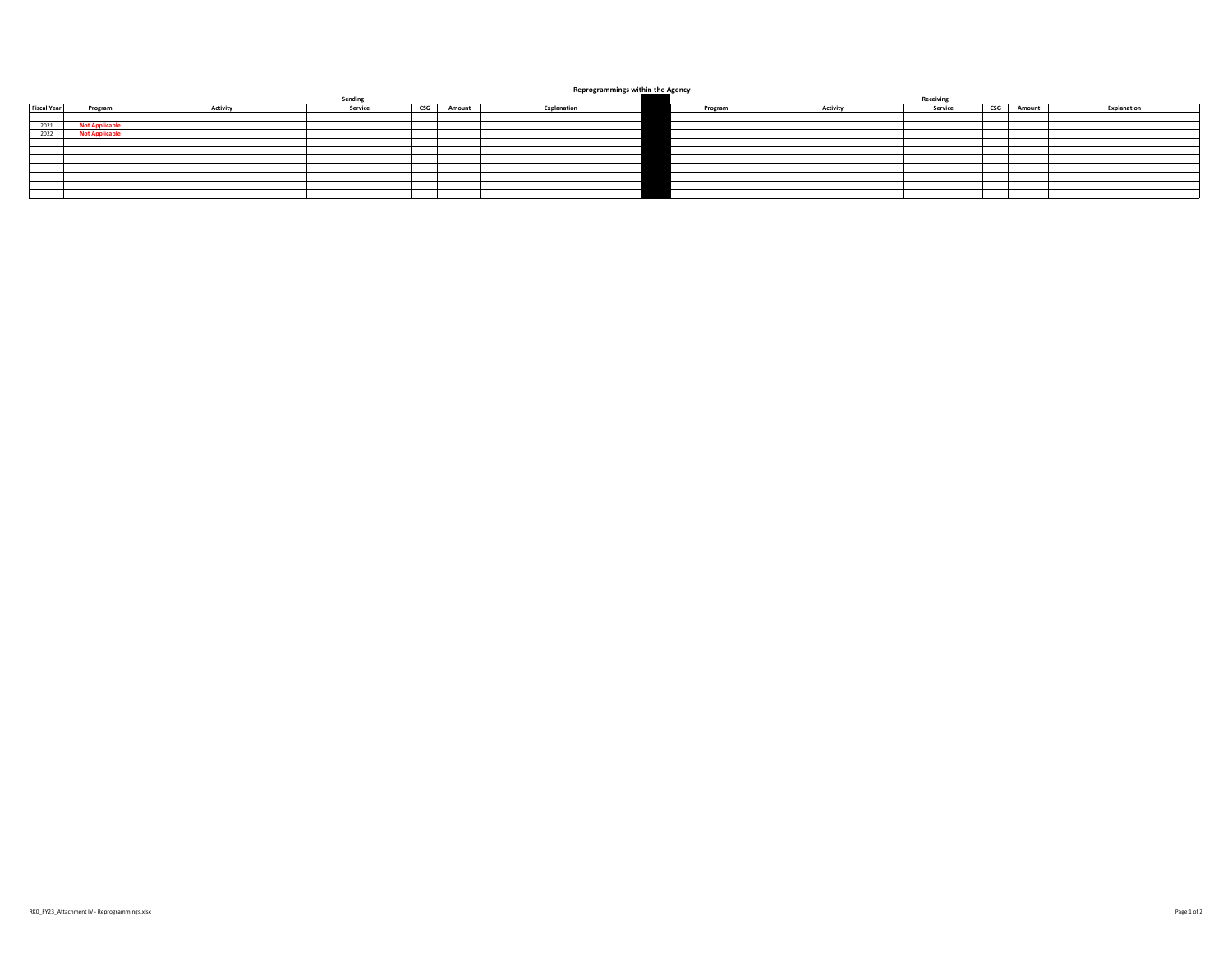## **Reprogrammings within the Agency**

| Reprogrammings within the Agency |                       |                 |                                          |        |             |           |                 |         |                       |        |             |
|----------------------------------|-----------------------|-----------------|------------------------------------------|--------|-------------|-----------|-----------------|---------|-----------------------|--------|-------------|
| Sending                          |                       |                 |                                          |        |             | Receiving |                 |         |                       |        |             |
| <b>Fiscal Year</b>               | Program               | <b>Activity</b> | $\mathsf{CSG}\hspace{0.01in}$<br>Service | Amount | Explanation | Program   | <b>Activity</b> | Service | $\mathsf{CSG}\xspace$ | Amount | Explanation |
|                                  |                       |                 |                                          |        |             |           |                 |         |                       |        |             |
| 2021                             | <b>Not Applicable</b> |                 |                                          |        |             |           |                 |         |                       |        |             |
| 2022                             | <b>Not Applicable</b> |                 |                                          |        |             |           |                 |         |                       |        |             |
|                                  |                       |                 |                                          |        |             |           |                 |         |                       |        |             |
|                                  |                       |                 |                                          |        |             |           |                 |         |                       |        |             |
|                                  |                       |                 |                                          |        |             |           |                 |         |                       |        |             |
|                                  |                       |                 |                                          |        |             |           |                 |         |                       |        |             |
|                                  |                       |                 |                                          |        |             |           |                 |         |                       |        |             |
|                                  |                       |                 |                                          |        |             |           |                 |         |                       |        |             |
|                                  |                       |                 |                                          |        |             |           |                 |         |                       |        |             |